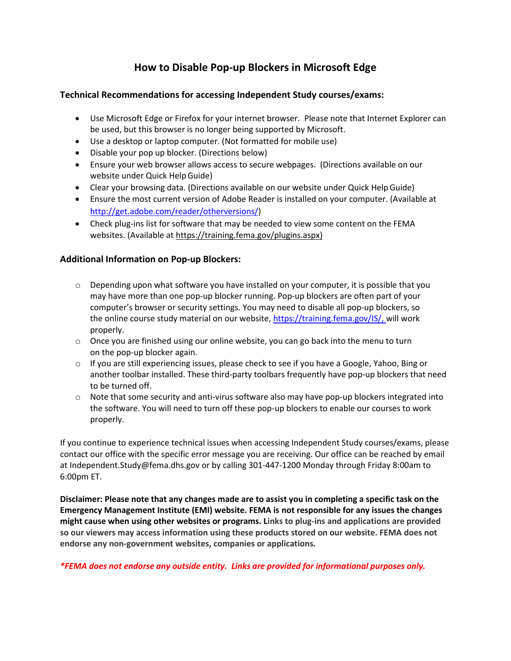## **How to Disable Pop-up Blockers in Microsoft Edge**

## **Technical Recommendations for accessing Independent Study courses/exams:**

- Use Microsoft Edge or Firefox for your internet browser. Please note that Internet Explorer can be used, but this browser is no longer being supported by Microsoft.
- Use a desktop or laptop computer. (Not formatted for mobile use)
- Disable your pop up blocker. (Directions below)
- Ensure your web browser allows access to secure webpages. (Directions available on our website under Quick HelpGuide)
- Clear your browsing data. (Directions available on our website under Quick Help Guide)
- Ensure the most current version of Adobe Reader is installed on your computer. (Available at [http://get.adobe.com/reader/otherversions/\)](http://get.adobe.com/reader/otherversions/)
- Check plug-ins list for software that may be needed to view some content on the FEMA websites. (Available a[t https://training.fema.gov/plugins.aspx\)](https://training.fema.gov/plugins.aspx)

## **Additional Information on Pop-up Blockers:**

- $\circ$  Depending upon what software you have installed on your computer, it is possible that you may have more than one pop-up blocker running. Pop-up blockers are often part of your computer's browser or security settings. You may need to disable all pop-up blockers, so the online course study material on our website, [https://training.fema.gov/IS/,](https://training.fema.gov/IS/) will work properly.
- $\circ$  Once you are finished using our online website, you can go back into the menu to turn on the pop-up blocker again.
- $\circ$  If you are still experiencing issues, please check to see if you have a Google, Yahoo, Bing or another toolbar installed. These third-party toolbars frequently have pop-up blockers that need to be turned off.
- $\circ$  Note that some security and anti-virus software also may have pop-up blockers integrated into the software. You will need to turn off these pop-up blockers to enable our courses to work properly.

If you continue to experience technical issues when accessing Independent Study courses/exams, please contact our office with the specific error message you are receiving. Our office can be reached by email a[t Independent.Study@fema.dhs.gov o](mailto:Independent.Study@fema.dhs.gov)r by calling 301-447-1200 Monday through Friday 8:00am to 6:00pm ET.

**Disclaimer: Please note that any changes made are to assist you in completing a specific task on the Emergency Management Institute (EMI) website. FEMA is not responsible for any issues the changes might cause when using other websites or programs. Links to plug-ins and applications are provided so our viewers may access information using these products stored on our website. FEMA does not endorse any non-government websites, companies or applications***.*

*\*FEMA does not endorse any outside entity. Links are provided for informational purposes only.*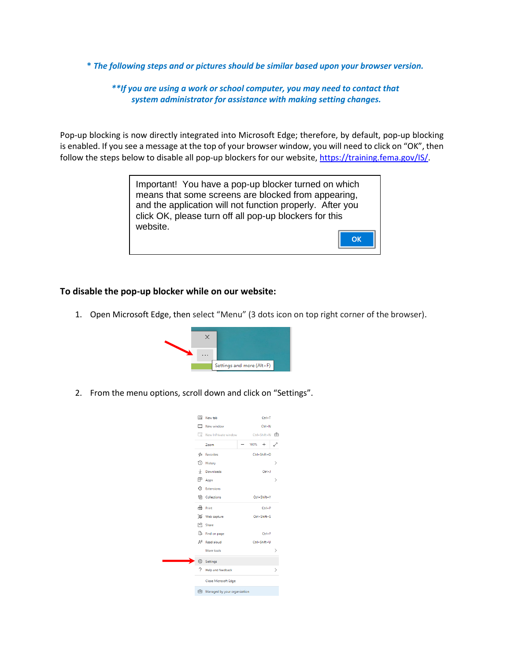**\*** *The following steps and or pictures should be similar based upon your browser version.*

*\*\*If you are using a work or school computer, you may need to contact that system administrator for assistance with making setting changes.*

Pop-up blocking is now directly integrated into Microsoft Edge; therefore, by default, pop-up blocking is enabled. If you see a message at the top of your browser window, you will need to click on "OK", then follow the steps below to disable all pop-up blockers for our website, [https://training.fema.gov/IS/.](https://training.fema.gov/IS/)

> Important! You have a pop-up blocker turned on which means that some screens are blocked from appearing, and the application will not function properly. After you click OK, please turn off all pop-up blockers for this website.**OK**

## **To disable the pop-up blocker while on our website:**

1. Open Microsoft Edge, then select "Menu" (3 dots icon on top right corner of the browser).



2. From the menu options, scroll down and click on "Settings".